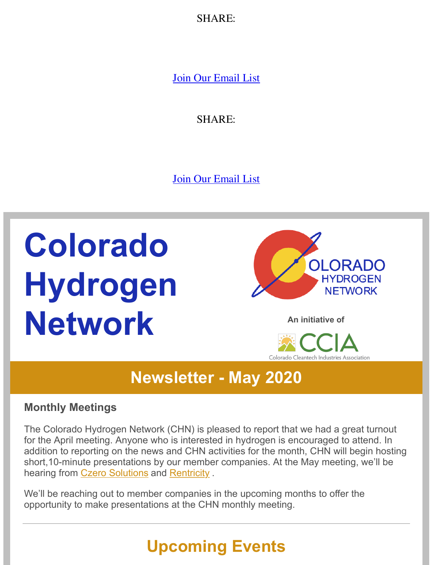$\sum$ 

Join Ou[r Em](https://s.rs6.net/t?e=T8QFnk_3nh8&c=5&r=1)ail List

S[HARE](https://www.constantcontact.com/index.jsp?cc=DLviral10):

Join Ou[r Em](https://s.rs6.net/t?e=T8QFnk_3nh8&c=5&r=1)ail List

# **Colorado Hydrogen Network [An initiative of](https://www.colorado-hydrogen.org/)**





## **Newsletter [- May 2020](https://coloradocleantech.com/)**

#### **Monthly Meetings**

The Colorado Hydrogen Network (CHN) is pleased to report that we had a great turnout for the April meeting. Anyone who is interested in hydrogen is encouraged to attend. In addition to reporting on the news and CHN activities for the month, CHN will begin hosting short,10-minute presentations by our member companies. At the May meeting, we'll be hearing from Czero Solutions and Rentricity.

We'll be reac[hing out to mem](https://czero-solutions.com/)ber [companies](https://rentricity.com/) in the upcoming months to offer the opportunity to make presentations at the CHN monthly meeting.

# **Upcoming Events**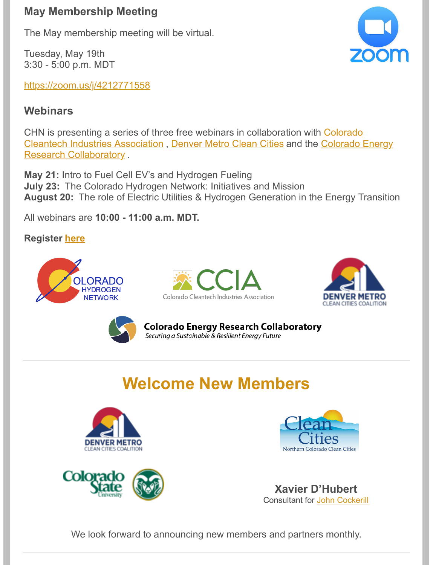The May membership meeting will be virtual.

Tuesday, May 19th 3:30 - 5:00 p.m. MDT

https://zoom.us/j/4212771558

#### **[Webinars](https://zoom.us/j/4212771558)**

CHN is presenting a series of three free webinars in collaboration with Colorado Cleantech Industries Association , Denver Metro Clean Cities and the Colorado Energy [Research Collaboratory](https://coloradocleantech.com/) .

**May 21:** [Intro to Fuel Cell EV's and Hydrogen Fueling](https://www.coloradocollaboratory.org/) **July 23:** The Colorado Hydrogen Network: Initiatives and Mission **August 20:** The role of Electric Utilities & Hydrogen Generation in the Energy Transition

All webinars are **10:00 - 11:00 a.m. MDT.**

#### **Register here**





**Colorado Energy Research Collaboratory** Securing a Sustainable & Resilient Energy Future

# **Welcome New Members**







**Xavier D'Hubert** Consultant for John Cockerill

We look forward to announcing new members and partners monthly.

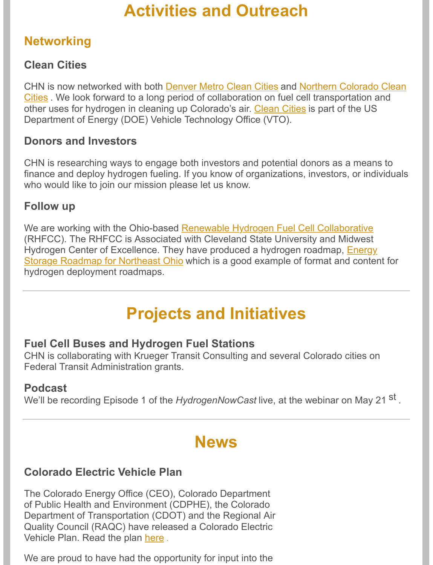#### **Networking**

#### **Clean Cities**

CHN is now networked with both Denver Metro Clean Cities and Northern Colorado Clean Cities . We look forward to a long period of collaboration on fuel cell transportation and [other uses for hydrogen in cleaning up Colorado's air. Clean Cities](https://northerncocleancities.org/index.html) is part of the US Department of Energy (DOE) Vehicle Technology Offi[ce \(VTO\).](https://cleancities.energy.gov/about/)

#### **Donors and Investors**

CHN is researching ways to engage both investors and potential donors as a means to finance and deploy hydrogen fueling. If you know of organizations, investors, or individuals who would like to join our mission please let us know.

#### **Follow up**

We are working with the Ohio-based Renewable Hydrogen Fuel Cell Collaborative (RHFCC). The RHFCC is Associated with Cleveland State University and Midwest Hydrogen Center of Excellence. The[y have produced a hydrogen roadmap, Energy](http://www.midwesthydrogen.org/about/) Storage Roadmap for Northeast Ohio which is a good example of format and content for [hydrogen deployment roadmaps.](https://engagedscholarship.csuohio.edu/cgi/viewcontent.cgi?article=2628&context=urban_facpub)

## **Projects and Initiatives**

#### **Fuel Cell Buses and Hydrogen Fuel Stations**

CHN is collaborating with Krueger Transit Consulting and several Colorado cities on Federal Transit Administration grants.

#### **Podcast**

We'll be recording Episode 1 of the *HydrogenNowCast* live, at the webinar on May 21 <sup>st</sup>.

## **News**

#### **Colorado Electric Vehicle Plan**

The Colorado Energy Office (CEO), Colorado Department of Public Health and Environment (CDPHE), the Colorado Department of Transportation (CDOT) and the Regional Air Quality Council (RAQC) have released a Colorado Electric Vehicle Plan. Read the plan here .

We are proud to have had t[he op](https://drive.google.com/file/d/1-z-lNQMU0pymcTQEH8OvnemgTbwQnFhq/view)portunity for input into the